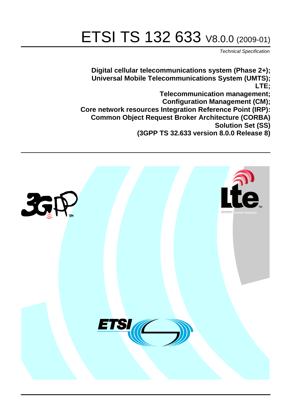# ETSI TS 132 633 V8.0.0 (2009-01)

*Technical Specification*

**Digital cellular telecommunications system (Phase 2+); Universal Mobile Telecommunications System (UMTS); LTE; Telecommunication management; Configuration Management (CM); Core network resources Integration Reference Point (IRP): Common Object Request Broker Architecture (CORBA) Solution Set (SS) (3GPP TS 32.633 version 8.0.0 Release 8)**

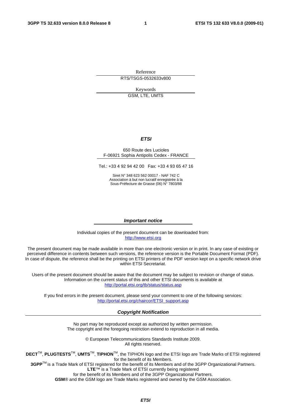Reference RTS/TSGS-0532633v800

Keywords

GSM, LTE, UMTS

#### *ETSI*

#### 650 Route des Lucioles F-06921 Sophia Antipolis Cedex - FRANCE

Tel.: +33 4 92 94 42 00 Fax: +33 4 93 65 47 16

Siret N° 348 623 562 00017 - NAF 742 C Association à but non lucratif enregistrée à la Sous-Préfecture de Grasse (06) N° 7803/88

#### *Important notice*

Individual copies of the present document can be downloaded from: [http://www.etsi.org](http://www.etsi.org/)

The present document may be made available in more than one electronic version or in print. In any case of existing or perceived difference in contents between such versions, the reference version is the Portable Document Format (PDF). In case of dispute, the reference shall be the printing on ETSI printers of the PDF version kept on a specific network drive within ETSI Secretariat.

Users of the present document should be aware that the document may be subject to revision or change of status. Information on the current status of this and other ETSI documents is available at <http://portal.etsi.org/tb/status/status.asp>

If you find errors in the present document, please send your comment to one of the following services: [http://portal.etsi.org/chaircor/ETSI\\_support.asp](http://portal.etsi.org/chaircor/ETSI_support.asp)

#### *Copyright Notification*

No part may be reproduced except as authorized by written permission. The copyright and the foregoing restriction extend to reproduction in all media.

> © European Telecommunications Standards Institute 2009. All rights reserved.

**DECT**TM, **PLUGTESTS**TM, **UMTS**TM, **TIPHON**TM, the TIPHON logo and the ETSI logo are Trade Marks of ETSI registered for the benefit of its Members.

**3GPP**TM is a Trade Mark of ETSI registered for the benefit of its Members and of the 3GPP Organizational Partners. **LTE**™ is a Trade Mark of ETSI currently being registered

for the benefit of its Members and of the 3GPP Organizational Partners.

**GSM**® and the GSM logo are Trade Marks registered and owned by the GSM Association.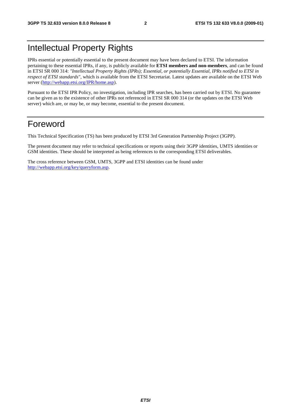### Intellectual Property Rights

IPRs essential or potentially essential to the present document may have been declared to ETSI. The information pertaining to these essential IPRs, if any, is publicly available for **ETSI members and non-members**, and can be found in ETSI SR 000 314: *"Intellectual Property Rights (IPRs); Essential, or potentially Essential, IPRs notified to ETSI in respect of ETSI standards"*, which is available from the ETSI Secretariat. Latest updates are available on the ETSI Web server ([http://webapp.etsi.org/IPR/home.asp\)](http://webapp.etsi.org/IPR/home.asp).

Pursuant to the ETSI IPR Policy, no investigation, including IPR searches, has been carried out by ETSI. No guarantee can be given as to the existence of other IPRs not referenced in ETSI SR 000 314 (or the updates on the ETSI Web server) which are, or may be, or may become, essential to the present document.

### Foreword

This Technical Specification (TS) has been produced by ETSI 3rd Generation Partnership Project (3GPP).

The present document may refer to technical specifications or reports using their 3GPP identities, UMTS identities or GSM identities. These should be interpreted as being references to the corresponding ETSI deliverables.

The cross reference between GSM, UMTS, 3GPP and ETSI identities can be found under [http://webapp.etsi.org/key/queryform.asp.](http://webapp.etsi.org/key/queryform.asp)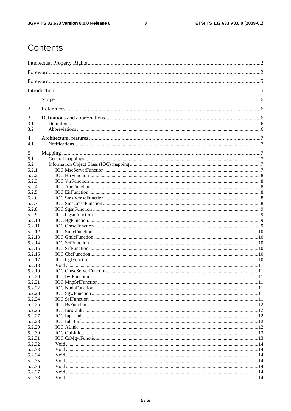#### $\mathbf{3}$

## Contents

| 1                |  |
|------------------|--|
| 2                |  |
| 3                |  |
| 3.1              |  |
| 3.2              |  |
| 4                |  |
| 4.1              |  |
| 5                |  |
| 5.1              |  |
| 5.2              |  |
| 5.2.1            |  |
| 5.2.2            |  |
| 5.2.3            |  |
| 5.2.4            |  |
| 5.2.5            |  |
| 5.2.6            |  |
| 5.2.7            |  |
| 5.2.8            |  |
| 5.2.9            |  |
| 5.2.10           |  |
| 5.2.11           |  |
| 5.2.12           |  |
| 5.2.13           |  |
| 5.2.14           |  |
| 5.2.15           |  |
| 5.2.16           |  |
| 5.2.17           |  |
| 5.2.18           |  |
| 5.2.19           |  |
| 5.2.20           |  |
| 5.2.21           |  |
| 5.2.22           |  |
| 5.2.23           |  |
| 5.2.24<br>5.2.25 |  |
| 5.2.26           |  |
| 5.2.27           |  |
| 5.2.28           |  |
| 5.2.29           |  |
| 5.2.30           |  |
| 5.2.31           |  |
| 5.2.32           |  |
| 5.2.33           |  |
| 5.2.34           |  |
| 5.2.35           |  |
| 5.2.36           |  |
| 5.2.37           |  |
| 5.2.38           |  |
|                  |  |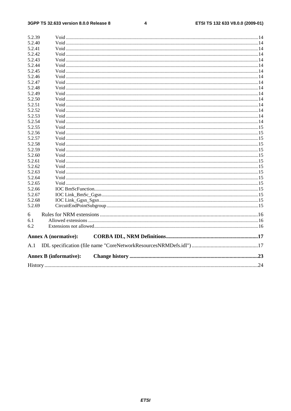#### $\overline{\mathbf{4}}$

| 5.2.39 |                               |  |
|--------|-------------------------------|--|
| 5.2.40 |                               |  |
| 5.2.41 |                               |  |
| 5.2.42 |                               |  |
| 5.2.43 |                               |  |
| 5.2.44 |                               |  |
| 5.2.45 |                               |  |
| 5.2.46 |                               |  |
| 5.2.47 |                               |  |
| 5.2.48 |                               |  |
| 5.2.49 |                               |  |
| 5.2.50 |                               |  |
| 5.2.51 |                               |  |
| 5.2.52 |                               |  |
| 5.2.53 |                               |  |
| 5.2.54 |                               |  |
| 5.2.55 |                               |  |
| 5.2.56 |                               |  |
| 5.2.57 |                               |  |
| 5.2.58 |                               |  |
| 5.2.59 |                               |  |
| 5.2.60 |                               |  |
| 5.2.61 |                               |  |
| 5.2.62 |                               |  |
| 5.2.63 |                               |  |
| 5.2.64 |                               |  |
| 5.2.65 |                               |  |
| 5.2.66 |                               |  |
| 5.2.67 |                               |  |
| 5.2.68 |                               |  |
| 5.2.69 |                               |  |
| 6      |                               |  |
| 6.1    |                               |  |
| 6.2    |                               |  |
|        |                               |  |
|        | <b>Annex A (normative):</b>   |  |
| A.1    |                               |  |
|        | <b>Annex B (informative):</b> |  |
|        |                               |  |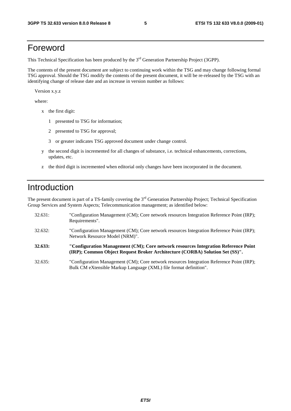### Foreword

This Technical Specification has been produced by the 3<sup>rd</sup> Generation Partnership Project (3GPP).

The contents of the present document are subject to continuing work within the TSG and may change following formal TSG approval. Should the TSG modify the contents of the present document, it will be re-released by the TSG with an identifying change of release date and an increase in version number as follows:

Version x.y.z

where:

- x the first digit:
	- 1 presented to TSG for information;
	- 2 presented to TSG for approval;
	- 3 or greater indicates TSG approved document under change control.
- y the second digit is incremented for all changes of substance, i.e. technical enhancements, corrections, updates, etc.
- z the third digit is incremented when editorial only changes have been incorporated in the document.

### Introduction

The present document is part of a TS-family covering the 3<sup>rd</sup> Generation Partnership Project; Technical Specification Group Services and System Aspects; Telecommunication management; as identified below:

| 32.631: | "Configuration Management (CM); Core network resources Integration Reference Point (IRP);<br>Requirements".                                                        |
|---------|--------------------------------------------------------------------------------------------------------------------------------------------------------------------|
| 32.632: | "Configuration Management (CM); Core network resources Integration Reference Point (IRP);<br>Network Resource Model (NRM)".                                        |
| 32.633: | "Configuration Management (CM); Core network resources Integration Reference Point<br>(IRP); Common Object Request Broker Architecture (CORBA) Solution Set (SS)". |
| 32.635: | "Configuration Management (CM); Core network resources Integration Reference Point (IRP);<br>Bulk CM eXtensible Markup Language (XML) file format definition".     |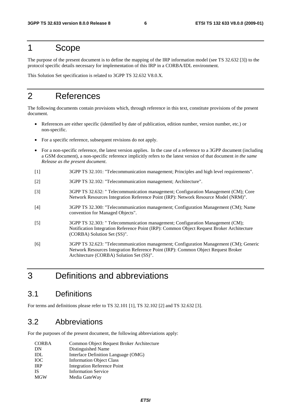### 1 Scope

The purpose of the present document is to define the mapping of the IRP information model (see TS 32.632 [3]) to the protocol specific details necessary for implementation of this IRP in a CORBA/IDL environment.

This Solution Set specification is related to 3GPP TS 32.632 V8.0.X.

### 2 References

The following documents contain provisions which, through reference in this text, constitute provisions of the present document.

- References are either specific (identified by date of publication, edition number, version number, etc.) or non-specific.
- For a specific reference, subsequent revisions do not apply.
- For a non-specific reference, the latest version applies. In the case of a reference to a 3GPP document (including a GSM document), a non-specific reference implicitly refers to the latest version of that document *in the same Release as the present document*.
- [1] 3GPP TS 32.101: "Telecommunication management; Principles and high level requirements".
- [2] 3GPP TS 32.102: "Telecommunication management; Architecture".
- [3] 3GPP TS 32.632: " Telecommunication management; Configuration Management (CM); Core Network Resources Integration Reference Point (IRP): Network Resource Model (NRM)".
- [4] 3GPP TS 32.300: "Telecommunication management; Configuration Management (CM); Name convention for Managed Objects".
- [5] 3GPP TS 32.303: " Telecommunication management; Configuration Management (CM); Notification Integration Reference Point (IRP): Common Object Request Broker Architecture (CORBA) Solution Set (SS)".
- [6] 3GPP TS 32.623: "Telecommunication management; Configuration Management (CM); Generic Network Resources Integration Reference Point (IRP): Common Object Request Broker Architecture (CORBA) Solution Set (SS)".

### 3 Definitions and abbreviations

### 3.1 Definitions

For terms and definitions please refer to TS 32.101 [1], TS 32.102 [2] and TS 32.632 [3].

### 3.2 Abbreviations

For the purposes of the present document, the following abbreviations apply:

| <b>CORBA</b> | Common Object Request Broker Architecture |
|--------------|-------------------------------------------|
| DN           | Distinguished Name                        |
| IDL          | Interface Definition Language (OMG)       |
| <b>IOC</b>   | <b>Information Object Class</b>           |
| <b>IRP</b>   | Integration Reference Point               |
| <b>IS</b>    | <b>Information Service</b>                |
| <b>MGW</b>   | Media GateWay                             |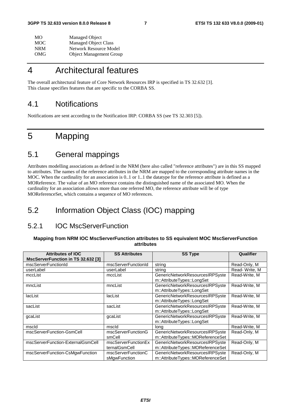| MО  | Managed Object                 |
|-----|--------------------------------|
| MOC | <b>Managed Object Class</b>    |
| NRM | Network Resource Model         |
| OMG | <b>Object Management Group</b> |

### 4 Architectural features

The overall architectural feature of Core Network Resources IRP is specified in TS 32.632 [3]. This clause specifies features that are specific to the CORBA SS.

### 4.1 Notifications

Notifications are sent according to the Notification IRP: CORBA SS (see TS 32.303 [5]).

### 5 Mapping

### 5.1 General mappings

Attributes modelling associations as defined in the NRM (here also called "reference attributes") are in this SS mapped to attributes. The names of the reference attributes in the NRM are mapped to the corresponding attribute names in the MOC. When the cardinality for an association is 0..1 or 1..1 the datatype for the reference attribute is defined as a MOReference. The value of an MO reference contains the distinguished name of the associated MO. When the cardinality for an association allows more than one referred MO, the reference attribute will be of type MOReferenceSet, which contains a sequence of MO references.

### 5.2 Information Object Class (IOC) mapping

### 5.2.1 IOC MscServerFunction

#### **Mapping from NRM IOC MscServerFunction attributes to SS equivalent MOC MscServerFunction attributes**

| <b>Attributes of IOC</b>           | <b>SS Attributes</b>                 | <b>SS Type</b>                                                       | Qualifier     |
|------------------------------------|--------------------------------------|----------------------------------------------------------------------|---------------|
| MscServerFunction in TS 32.632 [3] |                                      |                                                                      |               |
| mscServerFunctionId                | mscServerFunctionId                  | string                                                               | Read-Only, M  |
| userLabel                          | userLabel                            | string                                                               | Read-Write, M |
| mccList                            | mccList                              | GenericNetworkResourcesIRPSyste<br>m::AttributeTypes::LongSet        | Read-Write, M |
| mncList                            | mncList                              | GenericNetworkResourcesIRPSyste<br>m::AttributeTypes::LongSet        | Read-Write, M |
| lacList                            | lacList                              | GenericNetworkResourcesIRPSyste<br>m::AttributeTypes::LongSet        | Read-Write, M |
| sacList                            | sacList                              | GenericNetworkResourcesIRPSyste<br>m::AttributeTypes::LongSet        | Read-Write, M |
| qcaList                            | qcaList                              | GenericNetworkResourcesIRPSyste<br>m::AttributeTypes::LongSet        | Read-Write, M |
| mscld                              | mscld                                | long                                                                 | Read-Write, M |
| mscServerFunction-GsmCell          | mscServerFunctionG<br>smCell         | GenericNetworkResourcesIRPSyste<br>m::AttributeTypes::MOReferenceSet | Read-Only, M  |
| mscServerFunction-ExternalGsmCell  | mscServerFunctionEx<br>ternalGsmCell | GenericNetworkResourcesIRPSyste<br>m::AttributeTypes::MOReferenceSet | Read-Only, M  |
| mscServerFunction-CsMgwFunction    | mscServerFunctionC<br>sMgwFunction   | GenericNetworkResourcesIRPSyste<br>m::AttributeTypes::MOReferenceSet | Read-Only, M  |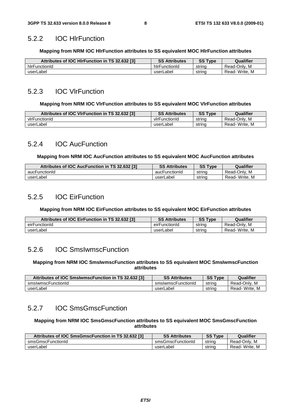#### 5.2.2 IOC HlrFunction

#### **Mapping from NRM IOC HlrFunction attributes to SS equivalent MOC HlrFunction attributes**

| Attributes of IOC HIrFunction in TS 32.632 [3] | <b>SS Attributes</b> | SS<br>$T$ <sub>VDe</sub> | Qualifier         |
|------------------------------------------------|----------------------|--------------------------|-------------------|
| hirFunctionId                                  | hirFunctionId        | strina                   | . M<br>Read-Only. |
| userLabel                                      | userLabel            | string                   | Read-Write, M     |

#### 5.2.3 IOC VlrFunction

#### **Mapping from NRM IOC VlrFunction attributes to SS equivalent MOC VlrFunction attributes**

| Attributes of IOC VIrFunction in TS 32.632 [3] | <b>SS Attributes</b> | <b>SS Type</b> | Qualifier     |
|------------------------------------------------|----------------------|----------------|---------------|
| vlrFunctionId                                  | virFunctionId        | string         | Read-Only, M  |
| userLabel                                      | userLabel            | string         | Read-Write, M |

#### 5.2.4 IOC AucFunction

#### **Mapping from NRM IOC AucFunction attributes to SS equivalent MOC AucFunction attributes**

| Attributes of IOC AucFunction in TS 32.632 [3] | <b>SS Attributes</b> | <b>SS Type</b> | Qualifier     |
|------------------------------------------------|----------------------|----------------|---------------|
| aucFunctionId                                  | aucFunctionId        | strina         | Read-Only, M  |
| userLabel                                      | userLabel            | string         | Read-Write, M |

#### 5.2.5 IOC EirFunction

#### **Mapping from NRM IOC EirFunction attributes to SS equivalent MOC EirFunction attributes**

| Attributes of IOC EirFunction in TS 32.632 [3] | <b>SS Attributes</b> | <b>SS Type</b> | Qualifier            |
|------------------------------------------------|----------------------|----------------|----------------------|
| eirFunctionId                                  | eirFunctionId        | strina         | . M<br>Read-Only.    |
| userLabel                                      | userLabel            | string         | '- Write. M<br>Read- |

#### 5.2.6 IOC SmsIwmscFunction

#### **Mapping from NRM IOC SmsIwmscFunction attributes to SS equivalent MOC SmsIwmscFunction attributes**

| Attributes of IOC SmsIwmscFunction in TS 32.632 [3] | <b>SS Attributes</b> | <b>SS Type</b> | Qualifier     |
|-----------------------------------------------------|----------------------|----------------|---------------|
| smslwmscFunctionId                                  | smslwmscFunctionId   | string         | Read-Only, M  |
| userLabel                                           | userLabel            | strina         | Read-Write, M |

### 5.2.7 IOC SmsGmscFunction

#### **Mapping from NRM IOC SmsGmscFunction attributes to SS equivalent MOC SmsGmscFunction attributes**

| Attributes of IOC SmsGmscFunction in TS 32.632 [3] | <b>SS Attributes</b> | <b>SS Type</b> | Qualifier     |
|----------------------------------------------------|----------------------|----------------|---------------|
| smsGmscFunctionId                                  | smsGmscFunctionId    | string         | Read-Only, M  |
| userLabel                                          | userLabel            | string         | Read-Write, M |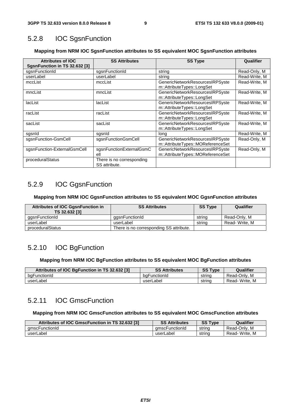### 5.2.8 IOC SgsnFunction

#### **Mapping from NRM IOC SgsnFunction attributes to SS equivalent MOC SgsnFunction attributes**

| <b>Attributes of IOC</b><br>SgsnFunction in TS 32.632 [3] | <b>SS Attributes</b>                       | <b>SS Type</b>                                                       | Qualifier     |
|-----------------------------------------------------------|--------------------------------------------|----------------------------------------------------------------------|---------------|
| sgsnFunctionId                                            | sgsnFunctionId                             | string                                                               | Read-Only, M  |
| userLabel                                                 | userLabel                                  | string                                                               | Read-Write, M |
| mccList                                                   | mccList                                    | GenericNetworkResourcesIRPSyste<br>m::AttributeTypes::LongSet        | Read-Write, M |
| mncList                                                   | mncList                                    | GenericNetworkResourcesIRPSyste<br>m::AttributeTypes::LongSet        | Read-Write, M |
| lacList                                                   | lacList                                    | GenericNetworkResourcesIRPSyste<br>m::AttributeTypes::LongSet        | Read-Write, M |
| racList                                                   | racList                                    | GenericNetworkResourcesIRPSyste<br>m::AttributeTypes::LongSet        | Read-Write, M |
| sacList                                                   | sacList                                    | GenericNetworkResourcesIRPSyste<br>m::AttributeTypes::LongSet        | Read-Write, M |
| sgsnld                                                    | sgsnid                                     | long                                                                 | Read-Write, M |
| sgsnFunction-GsmCell                                      | sgsnFunctionGsmCell                        | GenericNetworkResourcesIRPSyste<br>m::AttributeTypes::MOReferenceSet | Read-Only, M  |
| sgsnFunction-ExternalGsmCell                              | sgsnFunctionExternalGsmC<br>ell            | GenericNetworkResourcesIRPSyste<br>m::AttributeTypes::MOReferenceSet | Read-Only, M  |
| proceduralStatus                                          | There is no corresponding<br>SS attribute. |                                                                      |               |

### 5.2.9 IOC GgsnFunction

#### **Mapping from NRM IOC GgsnFunction attributes to SS equivalent MOC GgsnFunction attributes**

| <b>Attributes of IOC GgsnFunction in</b><br>TS 32.632 [3] | <b>SS Attributes</b>                    | <b>SS Type</b> | Qualifier     |
|-----------------------------------------------------------|-----------------------------------------|----------------|---------------|
| ggsnFunctionId                                            | gasnFunctionId                          | string         | Read-Only, M  |
| userLabel                                                 | userLabel                               | string         | Read-Write, M |
| proceduralStatus                                          | There is no corresponding SS attribute. |                |               |

### 5.2.10 IOC BgFunction

#### **Mapping from NRM IOC BgFunction attributes to SS equivalent MOC BgFunction attributes**

| Attributes of IOC BqFunction in TS 32.632 [3] | <b>SS Attributes</b> | <b>SS Type</b> | Qualifier        |
|-----------------------------------------------|----------------------|----------------|------------------|
| bgFunctionId                                  | baFunctionId         | strina         | Read-Only, M     |
| userLabel                                     | userLabel            | strina         | Read-Write.<br>M |

### 5.2.11 IOC GmscFunction

#### **Mapping from NRM IOC GmscFunction attributes to SS equivalent MOC GmscFunction attributes**

| Attributes of IOC GmscFunction in TS 32.632 [3] | <b>SS Attributes</b> | <b>SS Type</b> | Qualifier     |
|-------------------------------------------------|----------------------|----------------|---------------|
| amscFunctionId                                  | amscFunctionId       | strino         | Read-Only, M  |
| userLabel                                       | userLabel            | string         | Read-Write, M |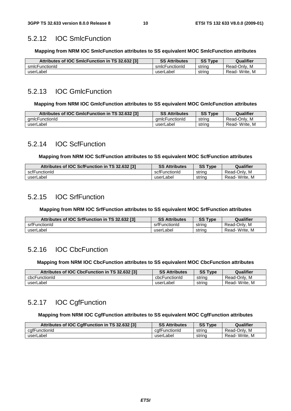### 5.2.12 IOC SmlcFunction

#### **Mapping from NRM IOC SmlcFunction attributes to SS equivalent MOC SmlcFunction attributes**

| Attributes of IOC SmIcFunction in TS 32.632 [3] | <b>SS Attributes</b> | <b>SS Type</b> | Qualifier     |
|-------------------------------------------------|----------------------|----------------|---------------|
| smlcFunctionId                                  | smlcFunctionId       | strina         | Read-Only, M  |
| userLabel                                       | userLabel            | strina         | Read-Write, M |

### 5.2.13 IOC GmlcFunction

#### **Mapping from NRM IOC GmlcFunction attributes to SS equivalent MOC GmlcFunction attributes**

| Attributes of IOC GmIcFunction in TS 32.632 [3] | <b>SS Attributes</b> | <b>SS Type</b> | Qualifier     |
|-------------------------------------------------|----------------------|----------------|---------------|
| amlcFunctionId                                  | amicFunctionId       | string         | Read-Onlv. M  |
| userLabel                                       | userLabel            | string         | Read-Write, M |

### 5.2.14 IOC ScfFunction

#### **Mapping from NRM IOC ScfFunction attributes to SS equivalent MOC ScfFunction attributes**

| Attributes of IOC ScfFunction in TS 32.632 [3] | <b>SS Attributes</b> | <b>SS Type</b> | Qualifier     |
|------------------------------------------------|----------------------|----------------|---------------|
| scfFunctionId                                  | scfFunctionId        | strina         | Read-Only, M  |
| userLabel                                      | userLabel            | strina         | Read-Write, M |

### 5.2.15 IOC SrfFunction

#### **Mapping from NRM IOC SrfFunction attributes to SS equivalent MOC SrfFunction attributes**

| Attributes of IOC SrfFunction in TS 32.632 [3] | <b>SS Attributes</b> | <b>SS Type</b> | Qualifier     |
|------------------------------------------------|----------------------|----------------|---------------|
| srfFunctionId                                  | srfFunctionId        | strina         | Read-Only, M  |
| userLabel                                      | userLabel            | strina         | Read-Write, M |

### 5.2.16 IOC CbcFunction

#### **Mapping from NRM IOC CbcFunction attributes to SS equivalent MOC CbcFunction attributes**

| Attributes of IOC CbcFunction in TS 32.632 [3] | <b>SS Attributes</b> | <b>SS Type</b> | Qualifier     |
|------------------------------------------------|----------------------|----------------|---------------|
| cbcFunctionId                                  | cbcFunctionId        | string         | Read-Only, M  |
| userLabel                                      | userLabel            | strina         | Read-Write. M |

### 5.2.17 IOC CgfFunction

#### **Mapping from NRM IOC CgfFunction attributes to SS equivalent MOC CgfFunction attributes**

| Attributes of IOC CgfFunction in TS 32.632 [3] | <b>SS Attributes</b> | <b>SS Type</b> | Qualifier     |
|------------------------------------------------|----------------------|----------------|---------------|
| cgfFunctionId                                  | cafFunctionId        | string         | Read-Only, M  |
| userLabel                                      | userLabel            | string         | Read-Write, M |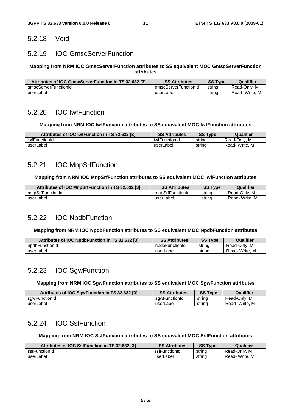### 5.2.18 Void

### 5.2.19 IOC GmscServerFunction

#### **Mapping from NRM IOC GmscServerFunction attributes to SS equivalent MOC GmscServerFunction attributes**

| Attributes of IOC GmscServerFunction in TS 32.632 [3] | <b>SS Attributes</b> | <b>SS Type</b> | Qualifier     |
|-------------------------------------------------------|----------------------|----------------|---------------|
| amscServerFunctionId                                  | amscServerFunctionId | strina         | Read-Onlv. M  |
| userLabel                                             | userLabel            | strina         | Read-Write, M |

### 5.2.20 IOC IwfFunction

#### **Mapping from NRM IOC IwfFunction attributes to SS equivalent MOC IwfFunction attributes**

| Attributes of IOC IwfFunction in TS 32.632 [3] | <b>SS Attributes</b> | <b>SS Type</b> | Qualifier        |
|------------------------------------------------|----------------------|----------------|------------------|
| iwfFunctionId                                  | iwfFunctionId        | string         | . M<br>Read-Only |
| userLabel                                      | userLabel            | strina         | Read-Write, M    |

### 5.2.21 IOC MnpSrfFunction

#### **Mapping from NRM IOC MnpSrfFunction attributes to SS equivalent MOC IwfFunction attributes**

| Attributes of IOC MnpSrfFunction in TS 32.632 [3] | <b>SS Attributes</b> | <b>SS Type</b> | Qualifier     |
|---------------------------------------------------|----------------------|----------------|---------------|
| mnpSrfFunctionId                                  | mnpSrfFunctionId     | string         | Read-Only, M  |
| userLabel                                         | userLabel            | strina         | Read-Write, M |

### 5.2.22 IOC NpdbFunction

#### **Mapping from NRM IOC NpdbFunction attributes to SS equivalent MOC NpdbFunction attributes**

| Attributes of IOC NpdbFunction in TS 32.632 [3] | <b>SS Attributes</b> | <b>SS Type</b> | Qualifier     |
|-------------------------------------------------|----------------------|----------------|---------------|
| npdbFunctionId                                  | npdbFunctionId       | strina         | Read-Only, M  |
| userLabel                                       | userLabel            | string         | Read-Write, M |

#### 5.2.23 IOC SgwFunction

#### **Mapping from NRM IOC SgwFunction attributes to SS equivalent MOC SgwFunction attributes**

| Attributes of IOC SgwFunction in TS 32.632 [3] | <b>SS Attributes</b> | <b>SS Type</b> | Qualifier     |
|------------------------------------------------|----------------------|----------------|---------------|
| sawFunctionId                                  | sawFunctionId        | string         | Read-Only, M  |
| userLabel                                      | userLabel            | string         | Read-Write, M |

### 5.2.24 IOC SsfFunction

#### **Mapping from NRM IOC SsfFunction attributes to SS equivalent MOC SsfFunction attributes**

| Attributes of IOC SsfFunction in TS 32.632 [3] | <b>SS Attributes</b> | <b>SS Type</b> | Qualifier     |
|------------------------------------------------|----------------------|----------------|---------------|
| ssfFunctionId                                  | ssfFunctionId        | string         | Read-Only, M  |
| userLabel                                      | userLabel            | string         | Read-Write, M |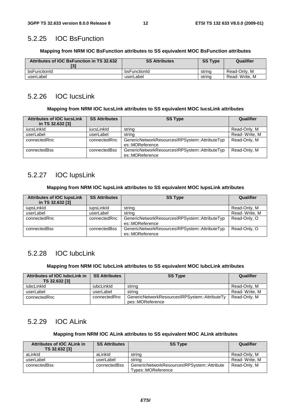#### 5.2.25 IOC BsFunction

#### **Mapping from NRM IOC BsFunction attributes to SS equivalent MOC BsFunction attributes**

| Attributes of IOC BsFunction in TS 32.632 | <b>SS Attributes</b> | <b>SS Type</b> | Qualifier     |
|-------------------------------------------|----------------------|----------------|---------------|
| bsFunctionId                              | bsFunctionId         | string         | Read-Only, M  |
| userLabel                                 | userLabel            | strina         | Read-Write, M |

### 5.2.26 IOC IucsLink

#### **Mapping from NRM IOC IucsLink attributes to SS equivalent MOC IucsLink attributes**

| <b>Attributes of IOC lucsLink</b><br>in TS 32.632 [3] | <b>SS Attributes</b> | <b>SS Type</b>                                                    | Qualifier     |
|-------------------------------------------------------|----------------------|-------------------------------------------------------------------|---------------|
| iucsLinkId                                            | iucsLinkId           | string                                                            | Read-Only, M  |
| userLabel                                             | userLabel            | string                                                            | Read-Write, M |
| connectedRnc                                          | connectedRnc         | GenericNetworkResourcesIRPSystem::AttributeTyp<br>es::MOReference | Read-Only, M  |
| connectedBss                                          | connectedBss         | GenericNetworkResourcesIRPSystem::AttributeTyp<br>es::MOReference | Read-Only, M  |

### 5.2.27 IOC IupsLink

#### **Mapping from NRM IOC IupsLink attributes to SS equivalent MOC IupsLink attributes**

| <b>Attributes of IOC lupsLink</b> | <b>SS Attributes</b> | <b>SS Type</b>                                 | Qualifier     |
|-----------------------------------|----------------------|------------------------------------------------|---------------|
| in TS 32.632 [3]                  |                      |                                                |               |
| iupsLinkId                        | iupsLinkId           | string                                         | Read-Only, M  |
| userLabel                         | userLabel            | string                                         | Read-Write, M |
| connectedRnc                      | connectedRnc         | GenericNetworkResourcesIRPSystem::AttributeTyp | Read-Only, O  |
|                                   |                      | es::MOReference                                |               |
| connectedBss                      | connectedBss         | GenericNetworkResourcesIRPSystem::AttributeTyp | Read-Only, O  |
|                                   |                      | es::MOReference                                |               |

### 5.2.28 IOC IubcLink

#### **Mapping from NRM IOC IubcLink attributes to SS equivalent MOC IubcLink attributes**

| Attributes of IOC lubcLink in | <b>SS Attributes</b> | <b>SS Type</b>                                                    | Qualifier     |
|-------------------------------|----------------------|-------------------------------------------------------------------|---------------|
| TS 32.632 [3]                 |                      |                                                                   |               |
| iubcLinkId                    | iubcLinkld           | string                                                            | Read-Only, M  |
| userLabel                     | userLabel            | string                                                            | Read-Write, M |
| connectedRnc                  | connectedRnc         | GenericNetworkResourcesIRPSystem::AttributeTy<br>pes::MOReference | Read-Only, M  |

### 5.2.29 IOC ALink

#### **Mapping from NRM IOC ALink attributes to SS equivalent MOC ALink attributes**

| Attributes of IOC ALink in<br>TS 32.632 [3] | <b>SS Attributes</b> | <b>SS Type</b>                                                    | Qualifier     |
|---------------------------------------------|----------------------|-------------------------------------------------------------------|---------------|
| aLinkId                                     | aLinkld              | string                                                            | Read-Only, M  |
| userLabel                                   | userLabel            | string                                                            | Read-Write, M |
| connectedBss                                | connectedBss         | GenericNetworkResourcesIRPSystem::Attribute<br>Types::MOReference | Read-Only, M  |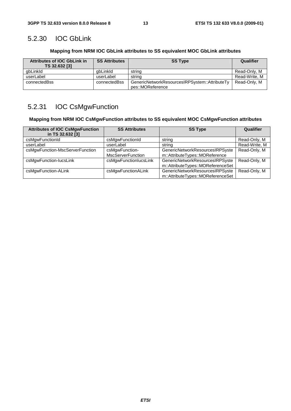### 5.2.30 IOC GbLink

#### **Mapping from NRM IOC GbLink attributes to SS equivalent MOC GbLink attributes**

| <b>Attributes of IOC GbLink in</b><br>TS 32.632 [3] | <b>SS Attributes</b> | <b>SS Type</b>                                                    | Qualifier     |
|-----------------------------------------------------|----------------------|-------------------------------------------------------------------|---------------|
| abLinkId                                            | abLinkId             | string                                                            | Read-Only, M  |
| userLabel                                           | userLabel            | string                                                            | Read-Write, M |
| connectedBss                                        | connectedBss         | GenericNetworkResourcesIRPSystem::AttributeTy<br>pes::MOReference | Read-Only, M  |

### 5.2.31 IOC CsMgwFunction

#### **Mapping from NRM IOC CsMgwFunction attributes to SS equivalent MOC CsMgwFunction attributes**

| <b>Attributes of IOC CsMgwFunction</b><br>in TS 32.632 [3] | <b>SS Attributes</b>                       | <b>SS Type</b>                                                       | Qualifier     |
|------------------------------------------------------------|--------------------------------------------|----------------------------------------------------------------------|---------------|
| csMgwFunctionId                                            | csMgwFunctionId                            | string                                                               | Read-Only, M  |
| userLabel                                                  | userLabel                                  | string                                                               | Read-Write, M |
| csMgwFunction-MscServerFunction                            | csMgwFunction-<br><b>MscServerFunction</b> | GenericNetworkResourcesIRPSyste<br>m::AttributeTypes::MOReference    | Read-Only, M  |
| csMgwFunction-lucsLink                                     | csMgwFunctionIucsLink                      | GenericNetworkResourcesIRPSyste<br>m::AttributeTypes::MOReferenceSet | Read-Only, M  |
| csMgwFunction-ALink                                        | csMgwFunctionALink                         | GenericNetworkResourcesIRPSyste<br>m::AttributeTypes::MOReferenceSet | Read-Only, M  |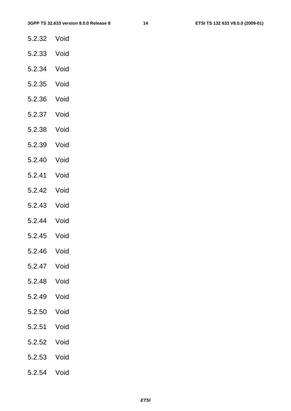- 5.2.32 Void
- 5.2.33 Void
- 5.2.34 Void
- 5.2.35 Void
- 5.2.36 Void
- 5.2.37 Void
- 5.2.38 Void
- 5.2.39 Void
- 5.2.40 Void
- 5.2.41 Void
- 5.2.42 Void
- 5.2.43 Void
- 5.2.44 Void
- 5.2.45 Void
- 5.2.46 Void
- 5.2.47 Void
- 5.2.48 Void
- 5.2.49 Void
- 5.2.50 Void
- 5.2.51 Void
- 5.2.52 Void
- 5.2.53 Void
- 5.2.54 Void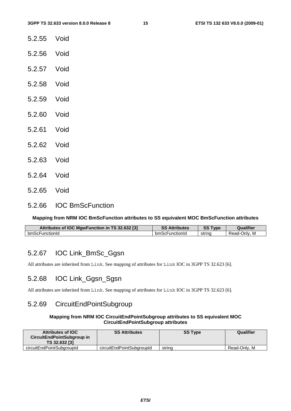- 5.2.55 Void
- 5.2.56 Void
- 5.2.57 Void
- 5.2.58 Void
- 5.2.59 Void
- 5.2.60 Void
- 5.2.61 Void
- 5.2.62 Void
- 5.2.63 Void
- 5.2.64 Void
- 5.2.65 Void
- 5.2.66 IOC BmScFunction

#### **Mapping from NRM IOC BmScFunction attributes to SS equivalent MOC BmScFunction attributes**

| Attributes of IOC MgwFunction in TS 32.632 [3] | SS.<br>Attributes | $\mathbf{c} \mathbf{c}$ $\mathbf{r}$<br>vpe<br>ວວ | Qualifier            |
|------------------------------------------------|-------------------|---------------------------------------------------|----------------------|
| bmScFunctionId                                 | bmScFunctionId    | string                                            | .Jnlv<br>Read-c<br>M |

#### 5.2.67 IOC Link\_BmSc\_Ggsn

All attributes are inherited from Link. See mapping of attributes for Link IOC in 3GPP TS 32.623 [6].

#### 5.2.68 IOC Link\_Ggsn\_Sgsn

All attributes are inherited from Link. See mapping of attributes for Link IOC in 3GPP TS 32.623 [6].

#### 5.2.69 CircuitEndPointSubgroup

#### **Mapping from NRM IOC CircuitEndPointSubgroup attributes to SS equivalent MOC CircuitEndPointSubgroup attributes**

| <b>Attributes of IOC</b><br><b>CircuitEndPointSubgroup in</b><br>TS 32.632 [3] | <b>SS Attributes</b>      | <b>SS Type</b> | Qualifier    |
|--------------------------------------------------------------------------------|---------------------------|----------------|--------------|
| circuitEndPointSubgroupId                                                      | circuitEndPointSubgroupId | string         | Read-Only, M |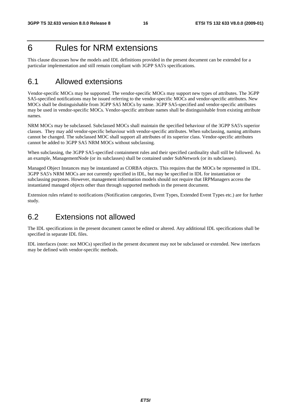### 6 Rules for NRM extensions

This clause discusses how the models and IDL definitions provided in the present document can be extended for a particular implementation and still remain compliant with 3GPP SA5's specifications.

### 6.1 Allowed extensions

Vendor-specific MOCs may be supported. The vendor-specific MOCs may support new types of attributes. The 3GPP SA5-specified notifications may be issued referring to the vendor-specific MOCs and vendor-specific attributes. New MOCs shall be distinguishable from 3GPP SA5 MOCs by name. 3GPP SA5-specified and vendor-specific attributes may be used in vendor-specific MOCs. Vendor-specific attribute names shall be distinguishable from existing attribute names.

NRM MOCs may be subclassed. Subclassed MOCs shall maintain the specified behaviour of the 3GPP SA5's superior classes. They may add vendor-specific behaviour with vendor-specific attributes. When subclassing, naming attributes cannot be changed. The subclassed MOC shall support all attributes of its superior class. Vendor-specific attributes cannot be added to 3GPP SA5 NRM MOCs without subclassing.

When subclassing, the 3GPP SA5-specified containment rules and their specified cardinality shall still be followed. As an example, ManagementNode (or its subclasses) shall be contained under SubNetwork (or its subclasses).

Managed Object Instances may be instantiated as CORBA objects. This requires that the MOCs be represented in IDL. 3GPP SA5's NRM MOCs are not currently specified in IDL, but may be specified in IDL for instantiation or subclassing purposes. However, management information models should not require that IRPManagers access the instantiated managed objects other than through supported methods in the present document.

Extension rules related to notifications (Notification categories, Event Types, Extended Event Types etc.) are for further study.

### 6.2 Extensions not allowed

The IDL specifications in the present document cannot be edited or altered. Any additional IDL specifications shall be specified in separate IDL files.

IDL interfaces (note: not MOCs) specified in the present document may not be subclassed or extended. New interfaces may be defined with vendor-specific methods.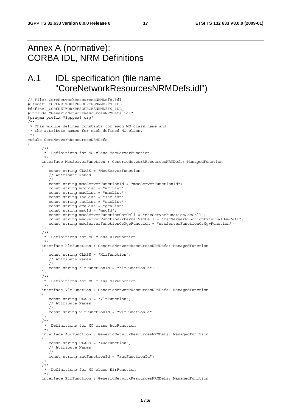### Annex A (normative): CORBA IDL, NRM Definitions

// File: CoreNetworkResourcesNRMDefs.idl

### A.1 IDL specification (file name "CoreNetworkResourcesNRMDefs.idl")

```
#ifndef _CORENETWORKRESOURCESNRMDEFS_IDL_ 
#define _CORENETWORKRESOURCESNRMDEFS_IDL_ 
#include "GenericNetworkResourcesNRMDefs.idl" 
#pragma prefix "3gppsa5.org" 
/** 
 * This module defines constants for each MO class name and 
  * the attribute names for each defined MO class. 
  */ 
module CoreNetworkResourcesNRMDefs 
{ 
       /** 
        * Definitions for MO class MscServerFunction 
        */ 
       interface MscServerFunction : GenericNetworkResourcesNRMDefs::ManagedFunction 
       { 
          const string CLASS = "MscServerFunction"; 
          // Attribute Names 
          // 
          const string mscServerFunctionId = "mscServerFunctionId"; 
          const string mccList = "mccList"; 
         const string mncList = "mncList";
          const string lacList = "lacList"; 
         const string sacList = "sacList";
 const string gcaList = "gcaList"; 
 const string mscId = "mscId"; 
          const string mscServerFunctionGsmCell = "mscServerFunctionGsmCell"; 
          const string mscServerFunctionExternalGsmCell = "mscServerFunctionExternalGsmCell"; 
          const string mscServerFunctionCsMgwFunction = "mscServerFunctionCsMgwFunction"; 
       }; 
 /** 
        * Definitions for MO class HlrFunction 
        */ 
      interface HlrFunction : GenericNetworkResourcesNRMDefs: : ManagedFunction
\left\{ \begin{array}{ccc} 1 & 1 \\ 1 & 1 \end{array} \right\} const string CLASS = "HlrFunction"; 
          // Attribute Names 
          // 
          const string hlrFunctionId = "hlrFunctionId"; 
       }; 
 /** 
        * Definitions for MO class VlrFunction 
        */ 
       interface VlrFunction : GenericNetworkResourcesNRMDefs::ManagedFunction 
\{ const string CLASS = "VlrFunction"; 
          // Attribute Names 
          // 
          const string vlrFunctionId = "vlrFunctionId"; 
       }; 
       /** 
        * Definitions for MO class AucFunction 
        */ 
       interface AucFunction : GenericNetworkResourcesNRMDefs::ManagedFunction 
       { 
          const string CLASS = "AucFunction"; 
           // Attribute Names 
          // 
          const string aucFunctionId = "aucFunctionId"; 
       }; 
       /** 
        * Definitions for MO class EirFunction 
        */ 
       interface EirFunction : GenericNetworkResourcesNRMDefs::ManagedFunction
```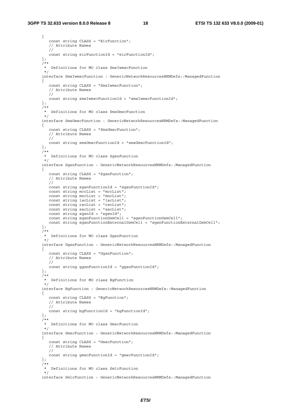#### **3GPP TS 32.633 version 8.0.0 Release 8 18 ETSI TS 132 633 V8.0.0 (2009-01)**

```
 { 
          const string CLASS = "EirFunction"; 
          // Attribute Names 
          // 
          const string eirFunctionId = "eirFunctionId"; 
       }; 
 /** 
        * Definitions for MO class SmsIwmscFunction 
        */ 
      interface SmsIwmscFunction : GenericNetworkResourcesNRMDefs: : ManagedFunction
       { 
          const string CLASS = "SmsIwmscFunction"; 
          // Attribute Names 
          // 
          const string smsIwmscFunctionId = "smsIwmscFunctionId"; 
       }; 
       /** 
        * Definitions for MO class SmsGmscFunction 
        */ 
       interface SmsGmscFunction : GenericNetworkResourcesNRMDefs::ManagedFunction 
       { 
          const string CLASS = "SmsGmscFunction"; 
          // Attribute Names 
          // 
          const string smsGmscFunctionId = "smsGmscFunctionId"; 
       }; 
       /** 
        * Definitions for MO class SgsnFunction 
        */ 
       interface SgsnFunction : GenericNetworkResourcesNRMDefs::ManagedFunction 
       { 
          const string CLASS = "SgsnFunction"; 
          // Attribute Names 
          // 
          const string sgsnFunctionId = "sgsnFunctionId"; 
          const string mccList = "mccList"; 
          const string mncList = "mncList"; 
         const string lacList = "lacList";
         const string racList = "racList";
         const string sacList = "sacList";
         const string sgsnId = "sgsnId";
          const string sgsnFunctionGsmCell = "sgsnFunctionGsmCell"; 
          const string sgsnFunctionExternalGsmCell = "sgsnFunctionExternalGsmCell"; 
       }; 
       /** 
        * Definitions for MO class GgsnFunction 
        */ 
      interface GgsnFunction : GenericNetworkResourcesNRMDefs: : ManagedFunction
       { 
          const string CLASS = "GgsnFunction"; 
          // Attribute Names 
          // 
          const string ggsnFunctionId = "ggsnFunctionId"; 
       }; 
 /** 
        * Definitions for MO class BgFunction 
        */ 
      interface BgFunction : GenericNetworkResourcesNRMDefs: : ManagedFunction
       { 
          const string CLASS = "BgFunction"; 
          // Attribute Names 
          // 
          const string bgFunctionId = "bgFunctionId"; 
       }; 
 /** 
        * Definitions for MO class GmscFunction 
        */ 
       interface GmscFunction : GenericNetworkResourcesNRMDefs::ManagedFunction 
       { 
          const string CLASS = "GmscFunction"; 
          // Attribute Names 
          // 
          const string gmscFunctionId = "gmscFunctionId"; 
       }; 
 /** 
        * Definitions for MO class SmlcFunction 
        */ 
      interface SmlcFunction : GenericNetworkResourcesNRMDefs: :ManagedFunction
```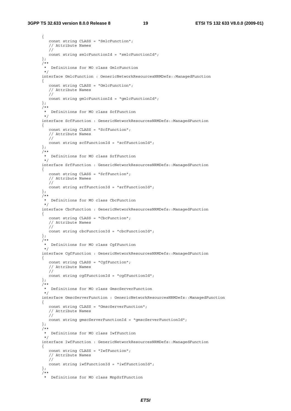#### **3GPP TS 32.633 version 8.0.0 Release 8 19 ETSI TS 132 633 V8.0.0 (2009-01)**

```
 { 
          const string CLASS = "SmlcFunction"; 
          // Attribute Names 
          // 
          const string smlcFunctionId = "smlcFunctionId"; 
       }; 
 /** 
        * Definitions for MO class GmlcFunction 
        */ 
      interface GmlcFunction : GenericNetworkResourcesNRMDefs: : ManagedFunction
       { 
          const string CLASS = "GmlcFunction"; 
          // Attribute Names 
          // 
          const string gmlcFunctionId = "gmlcFunctionId"; 
       }; 
       /** 
        * Definitions for MO class ScfFunction 
        */ 
      interface ScfFunction : GenericNetworkResourcesNRMDefs: : ManagedFunction
       { 
          const string CLASS = "ScfFunction"; 
          // Attribute Names 
          // 
          const string scfFunctionId = "scfFunctionId"; 
       }; 
       /** 
        * Definitions for MO class SrfFunction 
        */ 
       interface SrfFunction : GenericNetworkResourcesNRMDefs::ManagedFunction 
       { 
          const string CLASS = "SrfFunction"; 
          // Attribute Names 
          // 
          const string srfFunctionId = "srfFunctionId"; 
       }; 
      7** * Definitions for MO class CbcFunction 
        */ 
      interface CbcFunction : GenericNetworkResourcesNRMDefs: : ManagedFunction
       { 
          const string CLASS = "CbcFunction"; 
          // Attribute Names 
          // 
          const string cbcFunctionId = "cbcFunctionId"; 
       }; 
       /** 
        * Definitions for MO class CgfFunction 
        */ 
       interface CgfFunction : GenericNetworkResourcesNRMDefs::ManagedFunction 
       { 
          const string CLASS = "CgfFunction"; 
          // Attribute Names 
          // 
          const string cgfFunctionId = "cgfFunctionId"; 
       }; 
       /** 
        * Definitions for MO class GmscServerFunction 
        */ 
       interface GmscServerFunction : GenericNetworkResourcesNRMDefs::ManagedFunction 
       { 
          const string CLASS = "GmscServerFunction"; 
          // Attribute Names 
          // 
          const string gmscServerFunctionId = "gmscServerFunctionId"; 
       }; 
      7** * Definitions for MO class IwfFunction 
        */ 
      interface IwfFunction : GenericNetworkResourcesNRMDefs::ManagedFunction
       { 
          const string CLASS = "IwfFunction"; 
          // Attribute Names 
          // 
          const string iwfFunctionId = "iwfFunctionId"; 
       }; 
       /** 
        * Definitions for MO class MnpSrfFunction
```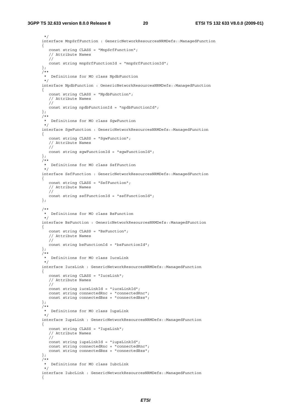#### **3GPP TS 32.633 version 8.0.0 Release 8 20 ETSI TS 132 633 V8.0.0 (2009-01)**

```
 */ 
      interface MnpSrfFunction : GenericNetworkResourcesNRMDefs: : ManagedFunction
       { 
          const string CLASS = "MnpSrfFunction"; 
          // Attribute Names 
          // 
          const string mnpSrfFunctionId = "mnpSrfFunctionId"; 
       }; 
      7* * Definitions for MO class NpdbFunction 
        */ 
      interface NpdbFunction : GenericNetworkResourcesNRMDefs: : ManagedFunction
       { 
          const string CLASS = "NpdbFunction"; 
          // Attribute Names 
          // 
          const string npdbFunctionId = "npdbFunctionId"; 
       }; 
       /** 
        * Definitions for MO class SgwFunction 
        */ 
       interface SgwFunction : GenericNetworkResourcesNRMDefs::ManagedFunction 
       { 
          const string CLASS = "SgwFunction"; 
          // Attribute Names 
          // 
          const string sgwFunctionId = "sgwFunctionId"; 
       }; 
 /** 
        * Definitions for MO class SsfFunction 
        */ 
       interface SsfFunction : GenericNetworkResourcesNRMDefs::ManagedFunction 
       { 
          const string CLASS = "SsfFunction"; 
          // Attribute Names 
          // 
          const string ssfFunctionId = "ssfFunctionId"; 
       }; 
 /** 
        * Definitions for MO class BsFunction 
 */ 
       interface BsFunction : GenericNetworkResourcesNRMDefs::ManagedFunction 
       { 
          const string CLASS = "BsFunction"; 
          // Attribute Names 
          // 
          const string bsFunctionId = "bsFunctionId"; 
       }; 
 /** 
        * Definitions for MO class IucsLink 
        */ 
       interface IucsLink : GenericNetworkResourcesNRMDefs::ManagedFunction 
       { 
          const string CLASS = "IucsLink"; 
          // Attribute Names 
          // 
          const string iucsLinkId = "iucsLinkId"; 
         const string connectedRnc = "connectedRnc";
         const string connectedBss = "connectedBss";
       }; 
      7** * Definitions for MO class IupsLink 
        */ 
       interface IupsLink : GenericNetworkResourcesNRMDefs::ManagedFunction 
       { 
          const string CLASS = "IupsLink"; 
          // Attribute Names 
          // 
          const string iupsLinkId = "iupsLinkId"; 
          const string connectedRnc = "connectedRnc"; 
          const string connectedBss = "connectedBss"; 
       }; 
       /** 
        * Definitions for MO class IubcLink 
        */ 
       interface IubcLink : GenericNetworkResourcesNRMDefs::ManagedFunction 
       {
```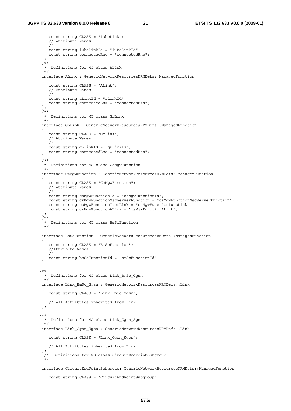```
 const string CLASS = "IubcLink"; 
          // Attribute Names 
         \frac{1}{\sqrt{2}} const string iubcLinkId = "iubcLinkId"; 
          const string connectedRnc = "connectedRnc"; 
       }; 
 /** 
        * Definitions for MO class ALink 
        */ 
       interface ALink : GenericNetworkResourcesNRMDefs::ManagedFunction 
       { 
          const string CLASS = "ALink"; 
           // Attribute Names 
          // 
          const string aLinkId = "aLinkId"; 
          const string connectedBss = "connectedBss"; 
       }; 
 /** 
        * Definitions for MO class GbLink 
        */ 
       interface GbLink : GenericNetworkResourcesNRMDefs::ManagedFunction 
       { 
          const string CLASS = "GbLink"; 
          // Attribute Names 
          // 
          const string gbLinkId = "gbLinkId"; 
          const string connectedBss = "connectedBss"; 
       }; 
 /** 
        * Definitions for MO class CsMgwFunction 
        */ 
       interface CsMgwFunction : GenericNetworkResourcesNRMDefs::ManagedFunction 
       { 
          const string CLASS = "CsMgwFunction"; 
          // Attribute Names 
          // 
          const string csMgwFunctionId = "csMgwFunctionId"; 
          const string csMgwFunctionMscServerFunction = "csMgwFunctionMscServerFunction"; 
          const string csMgwFunctionIucsLink = "csMgwFunctionIucsLink"; 
          const string csMgwFunctionALink = "csMgwFunctionALink"; 
       }; 
      7** * Definitions for MO class BmScFunction 
        */ 
       interface BmScFunction : GenericNetworkResourcesNRMDefs::ManagedFunction 
\left\{ \begin{array}{ccc} 1 & 1 \\ 1 & 1 \end{array} \right\} const string CLASS = "BmScFunction"; 
           //Attribute Names 
          // 
          const string bmScFunctionId = "bmScFunctionId"; 
       }; 
 /** 
        * Definitions for MO class Link_BmSc_Ggsn 
        */ 
       interface Link_BmSc_Ggsn : GenericNetworkResourcesNRMDefs::Link 
\left\{ \begin{array}{ccc} 1 & 1 \\ 1 & 1 \end{array} \right\} const string CLASS = "Link_BmSc_Ggsn"; 
          // All Attributes inherited from Link 
       }; 
 /** 
        * Definitions for MO class Link_Ggsn_Sgsn 
        */ 
       interface Link_Ggsn_Sgsn : GenericNetworkResourcesNRMDefs::Link 
       { 
          const string CLASS = "Link_Ggsn_Sgsn"; 
          // All Attributes inherited from Link 
       }; 
        /* Definitions for MO class CircuitEndPointSubgroup 
        */ 
       interface CircuitEndPointSubgroup: GenericNetworkResourcesNRMDefs::ManagedFunction 
       { 
          const string CLASS = "CircuitEndPointSubgroup";
```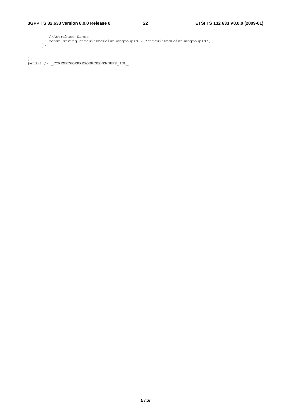```
 //Attribute Names 
   const string circuitEndPointSubgroupId = "circuitEndPointSubgroupId"; 
 };
```

```
\};
#endif // _CORENETWORKRESOURCESNRMDEFS_IDL_
```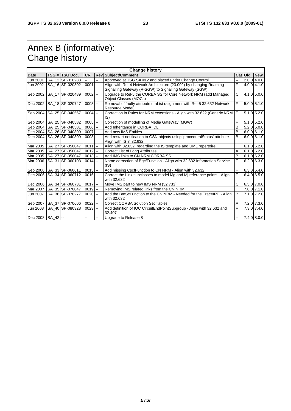## Annex B (informative): Change history

| <b>Change history</b> |  |                              |                     |    |                                                                                                                              |    |         |                 |
|-----------------------|--|------------------------------|---------------------|----|------------------------------------------------------------------------------------------------------------------------------|----|---------|-----------------|
| <b>Date</b>           |  | TSG # TSG Doc.               | <b>CR</b>           |    | <b>Rev Subject/Comment</b>                                                                                                   |    | Cat Old | <b>New</b>      |
| Jun 2001              |  | SA 12 SP-010283              |                     | -- | Approved at TSG SA #12 and placed under Change Control                                                                       | -- |         | $2.0.0$ 4.0.0   |
| Jun 2002              |  | SA 16 SP-020302              | $0001$ --           |    | Align with Rel-4 Network Architecture (23.002) by changing Roaming<br>Signalling Gateway (R-SGW) to Signalling Gateway (SGW) | F. |         | 4.0.0 4.1.0     |
| Sep 2002              |  | SA_17 SP-020489              | $0002$ --           |    | Upgrade to Rel-5 the CORBA SS for Core Network NRM (add Managed<br>Object Classes (MOCs)                                     | C  |         | $4.1.0$ 5.0.0   |
| Dec 2002              |  | SA 18 SP-020747              | $0003$ --           |    | Removal of faulty attribute uraList (alignment with Rel-5 32.632 Network<br>Resource Model)                                  | F  |         | $5.0.0$ $5.1.0$ |
| Sep 2004              |  | SA_25 SP-040567              | $0004$ --           |    | Correction in Rules for NRM extensions - Align with 32.622 (Generic NRM<br>$ S\rangle$                                       | F  |         | 5.1.0 5.2.0     |
|                       |  | Sep 2004   SA_25   SP-040582 | $0005$ $-$          |    | Correction of modelling of Media GateWay (MGW)                                                                               | F  |         | $5.1.0$ $5.2.0$ |
| Sep 2004              |  | SA 25 SP-040581              | $0006$ $-$          |    | Add Inheritance in CORBA IDL                                                                                                 | B  |         | $5.2.0$ 6.0.0   |
| Dec 2004              |  | SA 26 SP-040809              | $0007$ --           |    | Add new IMS Entities                                                                                                         | B  |         | $6.0.0$ 6.1.0   |
| Dec 2004              |  | SA 26 SP-040809              | $0008$ $-$          |    | Add restart notification to GSN objects using 'proceduralStatus' attribute -<br>Align with IS in 32.632                      | B  |         | $6.0.0$ 6.1.0   |
| Mar 2005              |  | SA 27 SP-050047              | $0011$ --           |    | Align with 32.632, regarding the IS template and UML repertoire                                                              | F  |         | $6.1.0$ 6.2.0   |
| Mar 2005              |  | <b>SA 27 SP-050047</b>       | $\overline{0012}$ - |    | Correct List of Long Attributes                                                                                              | A  |         | $6.1.0$ 6.2.0   |
| Mar 2005              |  | SA 27 SP-050047              | $0013$ --           |    | Add IMS links to CN NRM CORBA SS                                                                                             | B  |         | $6.1.0$ 6.2.0   |
| Mar 2006              |  | SA 31 SP-060103              | $0014$ --           |    | Name correction of BgcfFunction - Align with 32.632 Information Service<br>(IS)                                              | F  |         | $6.2.0$ 6.3.0   |
|                       |  | Sep 2006   SA_33 SP-060611   | $0015$ --           |    | Add missing CscfFunction to CN NRM - Align with 32.632                                                                       | F  |         | 6.3.0 6.4.0     |
| Dec 2006              |  | SA 34 SP-060712              | $0016$ --           |    | Correct the Link subclasses to model Mg and Mj reference points - Align<br>with 32.632                                       | F  |         | 6.4.0 6.5.0     |
|                       |  | Dec 2006 SA_34 SP-060731     | $0017$ --           |    | Move IMS part to new IMS NRM (32.733)                                                                                        | С  |         | 6.5.0 7.0.0     |
| Mar 2007              |  | SA_35 SP-070047              | $0019$ --           |    | Removing IMS related links from the CN NRM                                                                                   | F  |         | 7.0.0 7.1.0     |
| Jun 2007              |  | SA 36 SP-070277              | $0020$ --           |    | Add the BmScFunction to the CN NRM - Needed for the TraceIRP - Align<br>with 32.632                                          | B  |         | 7.1.0 7.2.0     |
| Sep 2007              |  | SA_37 SP-070606              | $0022$ --           |    | <b>Correct CORBA Solution Set Tables</b>                                                                                     | A  |         | 7.2.0 7.3.0     |
| Jun 2008              |  | SA 40 SP-080328              | $0023$ --           |    | Add definition of IOC CircuitEndPointSubgroup - Align with 32.632 and<br>32.407                                              | F. |         | 7.3.0 7.4.0     |
| Dec 2008   SA_42  --  |  |                              |                     | -- | Upgrade to Release 8                                                                                                         | -- |         | 7.4.0 8.0.0     |